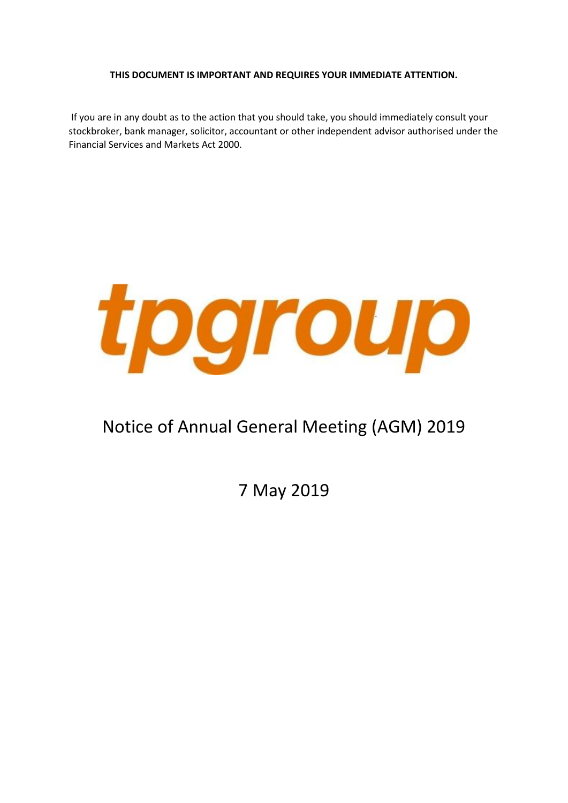### **THIS DOCUMENT IS IMPORTANT AND REQUIRES YOUR IMMEDIATE ATTENTION.**

If you are in any doubt as to the action that you should take, you should immediately consult your stockbroker, bank manager, solicitor, accountant or other independent advisor authorised under the Financial Services and Markets Act 2000.



# Notice of Annual General Meeting (AGM) 2019

7 May 2019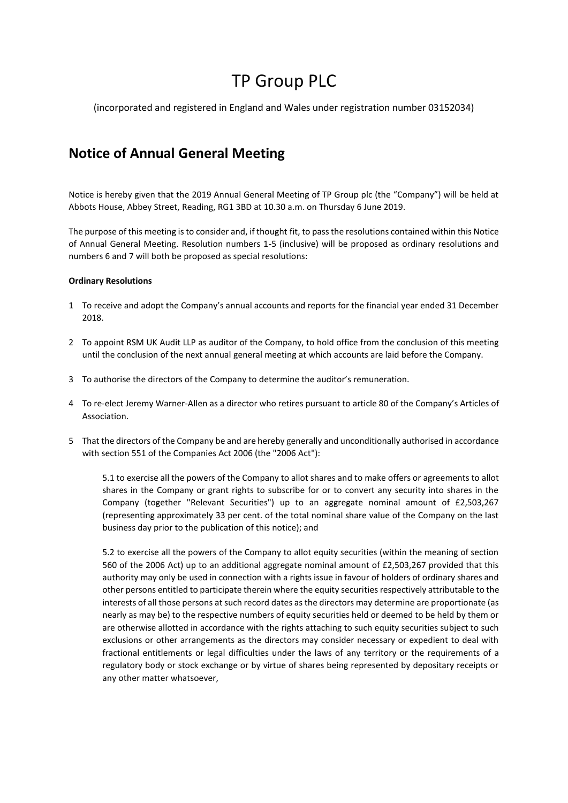# TP Group PLC

(incorporated and registered in England and Wales under registration number 03152034)

## **Notice of Annual General Meeting**

Notice is hereby given that the 2019 Annual General Meeting of TP Group plc (the "Company") will be held at Abbots House, Abbey Street, Reading, RG1 3BD at 10.30 a.m. on Thursday 6 June 2019.

The purpose of this meeting is to consider and, if thought fit, to pass the resolutions contained within this Notice of Annual General Meeting. Resolution numbers 1-5 (inclusive) will be proposed as ordinary resolutions and numbers 6 and 7 will both be proposed as special resolutions:

#### **Ordinary Resolutions**

- 1 To receive and adopt the Company's annual accounts and reports for the financial year ended 31 December 2018.
- 2 To appoint RSM UK Audit LLP as auditor of the Company, to hold office from the conclusion of this meeting until the conclusion of the next annual general meeting at which accounts are laid before the Company.
- 3 To authorise the directors of the Company to determine the auditor's remuneration.
- 4 To re-elect Jeremy Warner-Allen as a director who retires pursuant to article 80 of the Company's Articles of Association.
- 5 That the directors of the Company be and are hereby generally and unconditionally authorised in accordance with section 551 of the Companies Act 2006 (the "2006 Act"):

5.1 to exercise all the powers of the Company to allot shares and to make offers or agreements to allot shares in the Company or grant rights to subscribe for or to convert any security into shares in the Company (together "Relevant Securities") up to an aggregate nominal amount of £2,503,267 (representing approximately 33 per cent. of the total nominal share value of the Company on the last business day prior to the publication of this notice); and

5.2 to exercise all the powers of the Company to allot equity securities (within the meaning of section 560 of the 2006 Act) up to an additional aggregate nominal amount of £2,503,267 provided that this authority may only be used in connection with a rights issue in favour of holders of ordinary shares and other persons entitled to participate therein where the equity securities respectively attributable to the interests of all those persons at such record dates as the directors may determine are proportionate (as nearly as may be) to the respective numbers of equity securities held or deemed to be held by them or are otherwise allotted in accordance with the rights attaching to such equity securities subject to such exclusions or other arrangements as the directors may consider necessary or expedient to deal with fractional entitlements or legal difficulties under the laws of any territory or the requirements of a regulatory body or stock exchange or by virtue of shares being represented by depositary receipts or any other matter whatsoever,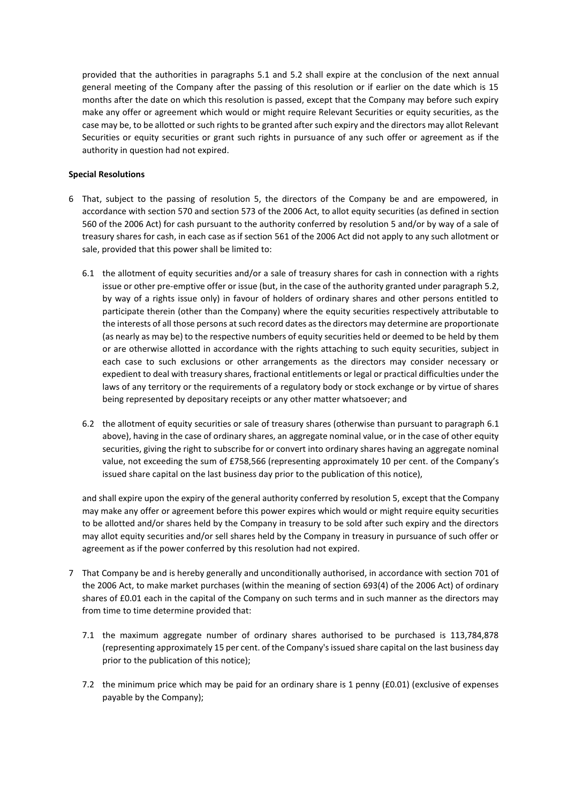provided that the authorities in paragraphs 5.1 and 5.2 shall expire at the conclusion of the next annual general meeting of the Company after the passing of this resolution or if earlier on the date which is 15 months after the date on which this resolution is passed, except that the Company may before such expiry make any offer or agreement which would or might require Relevant Securities or equity securities, as the case may be, to be allotted or such rights to be granted after such expiry and the directors may allot Relevant Securities or equity securities or grant such rights in pursuance of any such offer or agreement as if the authority in question had not expired.

#### **Special Resolutions**

- 6 That, subject to the passing of resolution 5, the directors of the Company be and are empowered, in accordance with section 570 and section 573 of the 2006 Act, to allot equity securities (as defined in section 560 of the 2006 Act) for cash pursuant to the authority conferred by resolution 5 and/or by way of a sale of treasury shares for cash, in each case as if section 561 of the 2006 Act did not apply to any such allotment or sale, provided that this power shall be limited to:
	- 6.1 the allotment of equity securities and/or a sale of treasury shares for cash in connection with a rights issue or other pre-emptive offer or issue (but, in the case of the authority granted under paragraph 5.2, by way of a rights issue only) in favour of holders of ordinary shares and other persons entitled to participate therein (other than the Company) where the equity securities respectively attributable to the interests of all those persons at such record dates as the directors may determine are proportionate (as nearly as may be) to the respective numbers of equity securities held or deemed to be held by them or are otherwise allotted in accordance with the rights attaching to such equity securities, subject in each case to such exclusions or other arrangements as the directors may consider necessary or expedient to deal with treasury shares, fractional entitlements or legal or practical difficulties under the laws of any territory or the requirements of a regulatory body or stock exchange or by virtue of shares being represented by depositary receipts or any other matter whatsoever; and
	- 6.2 the allotment of equity securities or sale of treasury shares (otherwise than pursuant to paragraph 6.1 above), having in the case of ordinary shares, an aggregate nominal value, or in the case of other equity securities, giving the right to subscribe for or convert into ordinary shares having an aggregate nominal value, not exceeding the sum of £758,566 (representing approximately 10 per cent. of the Company's issued share capital on the last business day prior to the publication of this notice),

and shall expire upon the expiry of the general authority conferred by resolution 5, except that the Company may make any offer or agreement before this power expires which would or might require equity securities to be allotted and/or shares held by the Company in treasury to be sold after such expiry and the directors may allot equity securities and/or sell shares held by the Company in treasury in pursuance of such offer or agreement as if the power conferred by this resolution had not expired.

- 7 That Company be and is hereby generally and unconditionally authorised, in accordance with section 701 of the 2006 Act, to make market purchases (within the meaning of section 693(4) of the 2006 Act) of ordinary shares of £0.01 each in the capital of the Company on such terms and in such manner as the directors may from time to time determine provided that:
	- 7.1 the maximum aggregate number of ordinary shares authorised to be purchased is 113,784,878 (representing approximately 15 per cent. of the Company's issued share capital on the last business day prior to the publication of this notice);
	- 7.2 the minimum price which may be paid for an ordinary share is 1 penny (£0.01) (exclusive of expenses payable by the Company);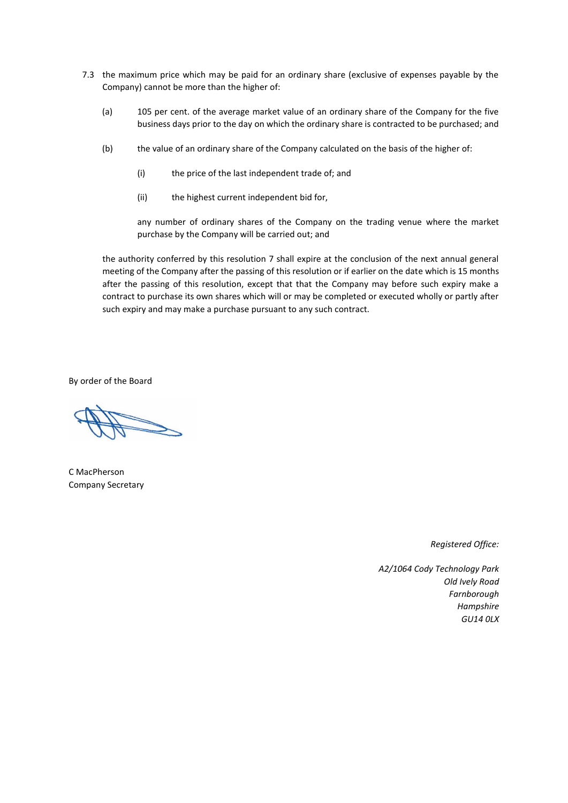- 7.3 the maximum price which may be paid for an ordinary share (exclusive of expenses payable by the Company) cannot be more than the higher of:
	- (a) 105 per cent. of the average market value of an ordinary share of the Company for the five business days prior to the day on which the ordinary share is contracted to be purchased; and
	- (b) the value of an ordinary share of the Company calculated on the basis of the higher of:
		- (i) the price of the last independent trade of; and
		- (ii) the highest current independent bid for,

any number of ordinary shares of the Company on the trading venue where the market purchase by the Company will be carried out; and

the authority conferred by this resolution 7 shall expire at the conclusion of the next annual general meeting of the Company after the passing of this resolution or if earlier on the date which is 15 months after the passing of this resolution, except that that the Company may before such expiry make a contract to purchase its own shares which will or may be completed or executed wholly or partly after such expiry and may make a purchase pursuant to any such contract.

By order of the Board

C MacPherson Company Secretary

*Registered Office:*

*A2/1064 Cody Technology Park Old Ively Road Farnborough Hampshire GU14 0LX*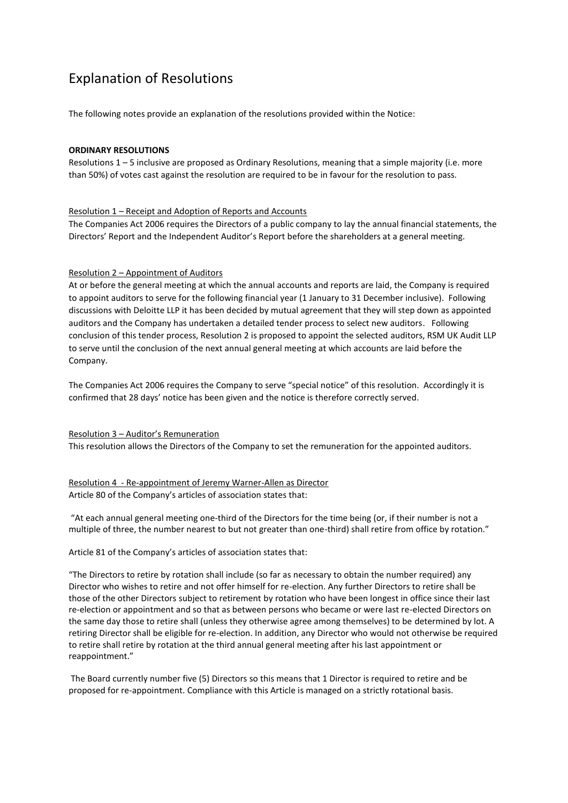## Explanation of Resolutions

The following notes provide an explanation of the resolutions provided within the Notice:

#### **ORDINARY RESOLUTIONS**

Resolutions 1 – 5 inclusive are proposed as Ordinary Resolutions, meaning that a simple majority (i.e. more than 50%) of votes cast against the resolution are required to be in favour for the resolution to pass.

#### Resolution 1 – Receipt and Adoption of Reports and Accounts

The Companies Act 2006 requires the Directors of a public company to lay the annual financial statements, the Directors' Report and the Independent Auditor's Report before the shareholders at a general meeting.

#### Resolution 2 – Appointment of Auditors

At or before the general meeting at which the annual accounts and reports are laid, the Company is required to appoint auditors to serve for the following financial year (1 January to 31 December inclusive). Following discussions with Deloitte LLP it has been decided by mutual agreement that they will step down as appointed auditors and the Company has undertaken a detailed tender process to select new auditors. Following conclusion of this tender process, Resolution 2 is proposed to appoint the selected auditors, RSM UK Audit LLP to serve until the conclusion of the next annual general meeting at which accounts are laid before the Company.

The Companies Act 2006 requires the Company to serve "special notice" of this resolution. Accordingly it is confirmed that 28 days' notice has been given and the notice is therefore correctly served.

Resolution 3 – Auditor's Remuneration This resolution allows the Directors of the Company to set the remuneration for the appointed auditors.

### Resolution 4 - Re-appointment of Jeremy Warner-Allen as Director Article 80 of the Company's articles of association states that:

"At each annual general meeting one-third of the Directors for the time being (or, if their number is not a multiple of three, the number nearest to but not greater than one-third) shall retire from office by rotation."

Article 81 of the Company's articles of association states that:

"The Directors to retire by rotation shall include (so far as necessary to obtain the number required) any Director who wishes to retire and not offer himself for re-election. Any further Directors to retire shall be those of the other Directors subject to retirement by rotation who have been longest in office since their last re-election or appointment and so that as between persons who became or were last re-elected Directors on the same day those to retire shall (unless they otherwise agree among themselves) to be determined by lot. A retiring Director shall be eligible for re-election. In addition, any Director who would not otherwise be required to retire shall retire by rotation at the third annual general meeting after his last appointment or reappointment."

The Board currently number five (5) Directors so this means that 1 Director is required to retire and be proposed for re-appointment. Compliance with this Article is managed on a strictly rotational basis.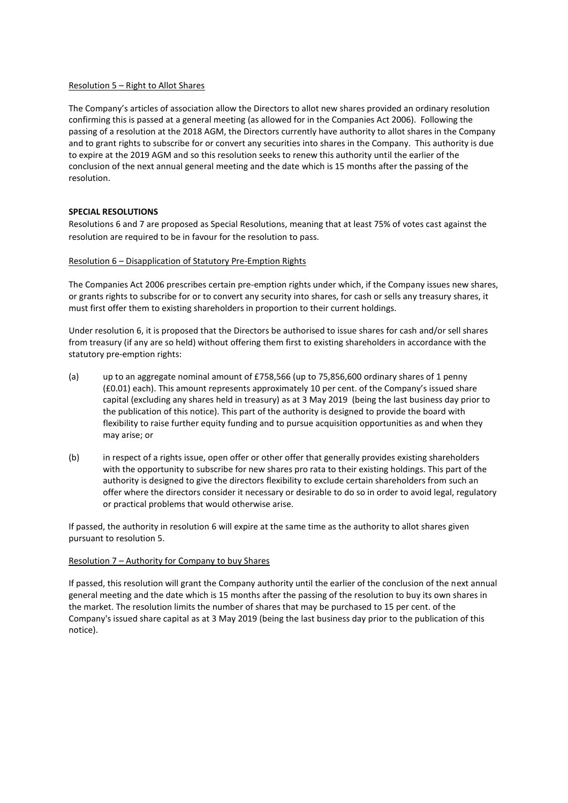#### Resolution 5 – Right to Allot Shares

The Company's articles of association allow the Directors to allot new shares provided an ordinary resolution confirming this is passed at a general meeting (as allowed for in the Companies Act 2006). Following the passing of a resolution at the 2018 AGM, the Directors currently have authority to allot shares in the Company and to grant rights to subscribe for or convert any securities into shares in the Company. This authority is due to expire at the 2019 AGM and so this resolution seeks to renew this authority until the earlier of the conclusion of the next annual general meeting and the date which is 15 months after the passing of the resolution.

#### **SPECIAL RESOLUTIONS**

Resolutions 6 and 7 are proposed as Special Resolutions, meaning that at least 75% of votes cast against the resolution are required to be in favour for the resolution to pass.

#### Resolution 6 – Disapplication of Statutory Pre-Emption Rights

The Companies Act 2006 prescribes certain pre-emption rights under which, if the Company issues new shares, or grants rights to subscribe for or to convert any security into shares, for cash or sells any treasury shares, it must first offer them to existing shareholders in proportion to their current holdings.

Under resolution 6, it is proposed that the Directors be authorised to issue shares for cash and/or sell shares from treasury (if any are so held) without offering them first to existing shareholders in accordance with the statutory pre-emption rights:

- (a) up to an aggregate nominal amount of £758,566 (up to 75,856,600 ordinary shares of 1 penny (£0.01) each). This amount represents approximately 10 per cent. of the Company's issued share capital (excluding any shares held in treasury) as at 3 May 2019 (being the last business day prior to the publication of this notice). This part of the authority is designed to provide the board with flexibility to raise further equity funding and to pursue acquisition opportunities as and when they may arise; or
- (b) in respect of a rights issue, open offer or other offer that generally provides existing shareholders with the opportunity to subscribe for new shares pro rata to their existing holdings. This part of the authority is designed to give the directors flexibility to exclude certain shareholders from such an offer where the directors consider it necessary or desirable to do so in order to avoid legal, regulatory or practical problems that would otherwise arise.

If passed, the authority in resolution 6 will expire at the same time as the authority to allot shares given pursuant to resolution 5.

#### Resolution 7 – Authority for Company to buy Shares

If passed, this resolution will grant the Company authority until the earlier of the conclusion of the next annual general meeting and the date which is 15 months after the passing of the resolution to buy its own shares in the market. The resolution limits the number of shares that may be purchased to 15 per cent. of the Company's issued share capital as at 3 May 2019 (being the last business day prior to the publication of this notice).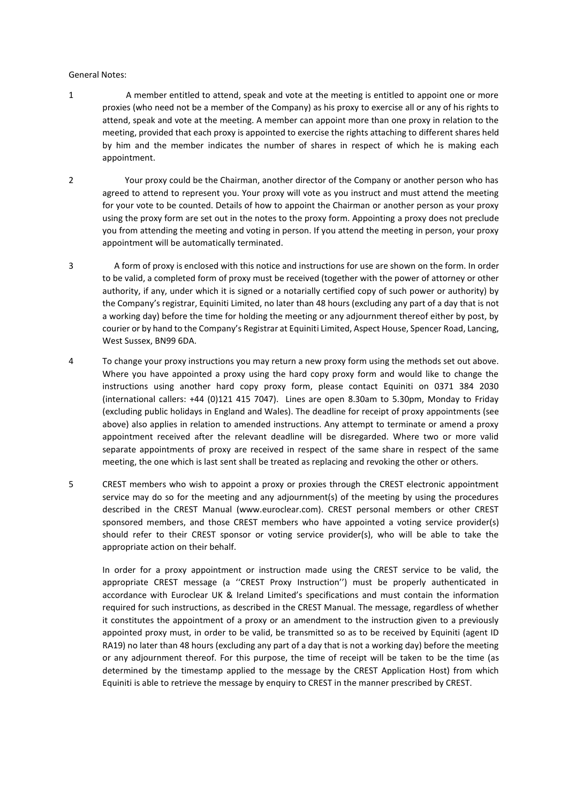#### General Notes:

- 1 A member entitled to attend, speak and vote at the meeting is entitled to appoint one or more proxies (who need not be a member of the Company) as his proxy to exercise all or any of his rights to attend, speak and vote at the meeting. A member can appoint more than one proxy in relation to the meeting, provided that each proxy is appointed to exercise the rights attaching to different shares held by him and the member indicates the number of shares in respect of which he is making each appointment.
- 2 Your proxy could be the Chairman, another director of the Company or another person who has agreed to attend to represent you. Your proxy will vote as you instruct and must attend the meeting for your vote to be counted. Details of how to appoint the Chairman or another person as your proxy using the proxy form are set out in the notes to the proxy form. Appointing a proxy does not preclude you from attending the meeting and voting in person. If you attend the meeting in person, your proxy appointment will be automatically terminated.
- 3 A form of proxy is enclosed with this notice and instructions for use are shown on the form. In order to be valid, a completed form of proxy must be received (together with the power of attorney or other authority, if any, under which it is signed or a notarially certified copy of such power or authority) by the Company's registrar, Equiniti Limited, no later than 48 hours (excluding any part of a day that is not a working day) before the time for holding the meeting or any adjournment thereof either by post, by courier or by hand to the Company's Registrar at Equiniti Limited, Aspect House, Spencer Road, Lancing, West Sussex, BN99 6DA.
- 4 To change your proxy instructions you may return a new proxy form using the methods set out above. Where you have appointed a proxy using the hard copy proxy form and would like to change the instructions using another hard copy proxy form, please contact Equiniti on 0371 384 2030 (international callers: +44 (0)121 415 7047). Lines are open 8.30am to 5.30pm, Monday to Friday (excluding public holidays in England and Wales). The deadline for receipt of proxy appointments (see above) also applies in relation to amended instructions. Any attempt to terminate or amend a proxy appointment received after the relevant deadline will be disregarded. Where two or more valid separate appointments of proxy are received in respect of the same share in respect of the same meeting, the one which is last sent shall be treated as replacing and revoking the other or others.
- 5 CREST members who wish to appoint a proxy or proxies through the CREST electronic appointment service may do so for the meeting and any adjournment(s) of the meeting by using the procedures described in the CREST Manual (www.euroclear.com). CREST personal members or other CREST sponsored members, and those CREST members who have appointed a voting service provider(s) should refer to their CREST sponsor or voting service provider(s), who will be able to take the appropriate action on their behalf.

In order for a proxy appointment or instruction made using the CREST service to be valid, the appropriate CREST message (a ''CREST Proxy Instruction'') must be properly authenticated in accordance with Euroclear UK & Ireland Limited's specifications and must contain the information required for such instructions, as described in the CREST Manual. The message, regardless of whether it constitutes the appointment of a proxy or an amendment to the instruction given to a previously appointed proxy must, in order to be valid, be transmitted so as to be received by Equiniti (agent ID RA19) no later than 48 hours (excluding any part of a day that is not a working day) before the meeting or any adjournment thereof. For this purpose, the time of receipt will be taken to be the time (as determined by the timestamp applied to the message by the CREST Application Host) from which Equiniti is able to retrieve the message by enquiry to CREST in the manner prescribed by CREST.